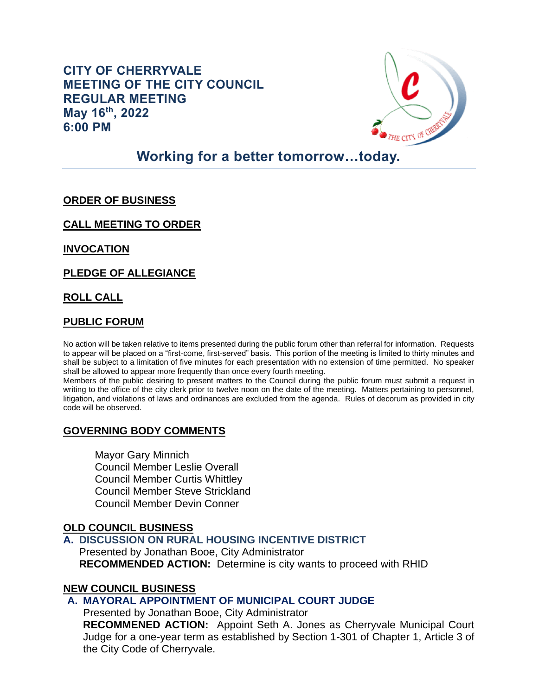# **CITY OF CHERRYVALE MEETING OF THE CITY COUNCIL REGULAR MEETING May 16th, 2022 6:00 PM**



# **Working for a better tomorrow…today.**

# **ORDER OF BUSINESS**

**CALL MEETING TO ORDER**

**INVOCATION**

**PLEDGE OF ALLEGIANCE** 

**ROLL CALL**

#### **PUBLIC FORUM**

No action will be taken relative to items presented during the public forum other than referral for information. Requests to appear will be placed on a "first-come, first-served" basis. This portion of the meeting is limited to thirty minutes and shall be subject to a limitation of five minutes for each presentation with no extension of time permitted. No speaker shall be allowed to appear more frequently than once every fourth meeting.

Members of the public desiring to present matters to the Council during the public forum must submit a request in writing to the office of the city clerk prior to twelve noon on the date of the meeting. Matters pertaining to personnel, litigation, and violations of laws and ordinances are excluded from the agenda. Rules of decorum as provided in city code will be observed.

### **GOVERNING BODY COMMENTS**

Mayor Gary Minnich Council Member Leslie Overall Council Member Curtis Whittley Council Member Steve Strickland Council Member Devin Conner

### **OLD COUNCIL BUSINESS**

### **A. DISCUSSION ON RURAL HOUSING INCENTIVE DISTRICT**

Presented by Jonathan Booe, City Administrator **RECOMMENDED ACTION:** Determine is city wants to proceed with RHID

### **NEW COUNCIL BUSINESS**

# **A. MAYORAL APPOINTMENT OF MUNICIPAL COURT JUDGE**

Presented by Jonathan Booe, City Administrator

**RECOMMENED ACTION:** Appoint Seth A. Jones as Cherryvale Municipal Court Judge for a one-year term as established by Section 1-301 of Chapter 1, Article 3 of the City Code of Cherryvale.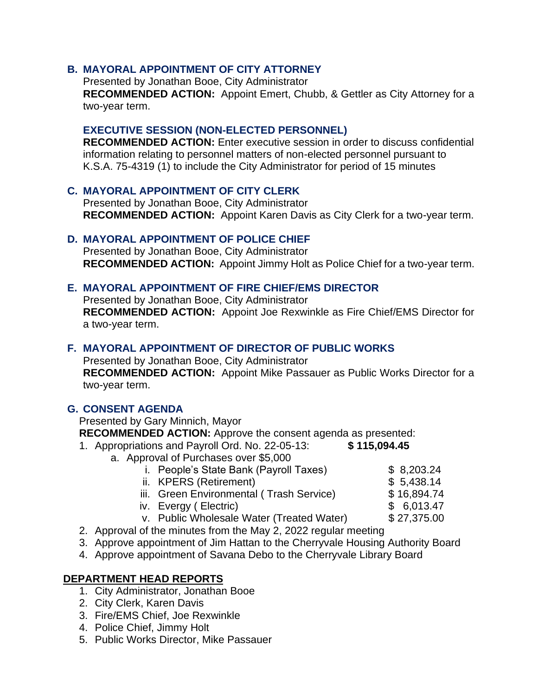# **B. MAYORAL APPOINTMENT OF CITY ATTORNEY**

Presented by Jonathan Booe, City Administrator **RECOMMENDED ACTION:** Appoint Emert, Chubb, & Gettler as City Attorney for a two-year term.

#### **EXECUTIVE SESSION (NON-ELECTED PERSONNEL)**

**RECOMMENDED ACTION:** Enter executive session in order to discuss confidential information relating to personnel matters of non-elected personnel pursuant to K.S.A. 75-4319 (1) to include the City Administrator for period of 15 minutes

# **C. MAYORAL APPOINTMENT OF CITY CLERK**

Presented by Jonathan Booe, City Administrator **RECOMMENDED ACTION:** Appoint Karen Davis as City Clerk for a two-year term.

### **D. MAYORAL APPOINTMENT OF POLICE CHIEF**

Presented by Jonathan Booe, City Administrator **RECOMMENDED ACTION:** Appoint Jimmy Holt as Police Chief for a two-year term.

#### **E. MAYORAL APPOINTMENT OF FIRE CHIEF/EMS DIRECTOR**

Presented by Jonathan Booe, City Administrator **RECOMMENDED ACTION:** Appoint Joe Rexwinkle as Fire Chief/EMS Director for a two-year term.

# **F. MAYORAL APPOINTMENT OF DIRECTOR OF PUBLIC WORKS**

Presented by Jonathan Booe, City Administrator **RECOMMENDED ACTION:** Appoint Mike Passauer as Public Works Director for a two-year term.

### **G. CONSENT AGENDA**

Presented by Gary Minnich, Mayor

**RECOMMENDED ACTION:** Approve the consent agenda as presented:

1. Appropriations and Payroll Ord. No. 22-05-13: **\$ 115,094.45**

- a. Approval of Purchases over \$5,000
	- i. People's State Bank (Payroll Taxes) \$ 8,203.24
	- ii. KPERS (Retirement) \$ 5,438.14

- iii. Green Environmental (Trash Service) \$16,894.74
- iv. Evergy ( Electric) \$ 6,013.47
	-
- v. Public Wholesale Water (Treated Water) \$ 27,375.00
- 2. Approval of the minutes from the May 2, 2022 regular meeting
- 3. Approve appointment of Jim Hattan to the Cherryvale Housing Authority Board
- 4. Approve appointment of Savana Debo to the Cherryvale Library Board

### **DEPARTMENT HEAD REPORTS**

- 1. City Administrator, Jonathan Booe
- 2. City Clerk, Karen Davis
- 3. Fire/EMS Chief, Joe Rexwinkle
- 4. Police Chief, Jimmy Holt
- 5. Public Works Director, Mike Passauer